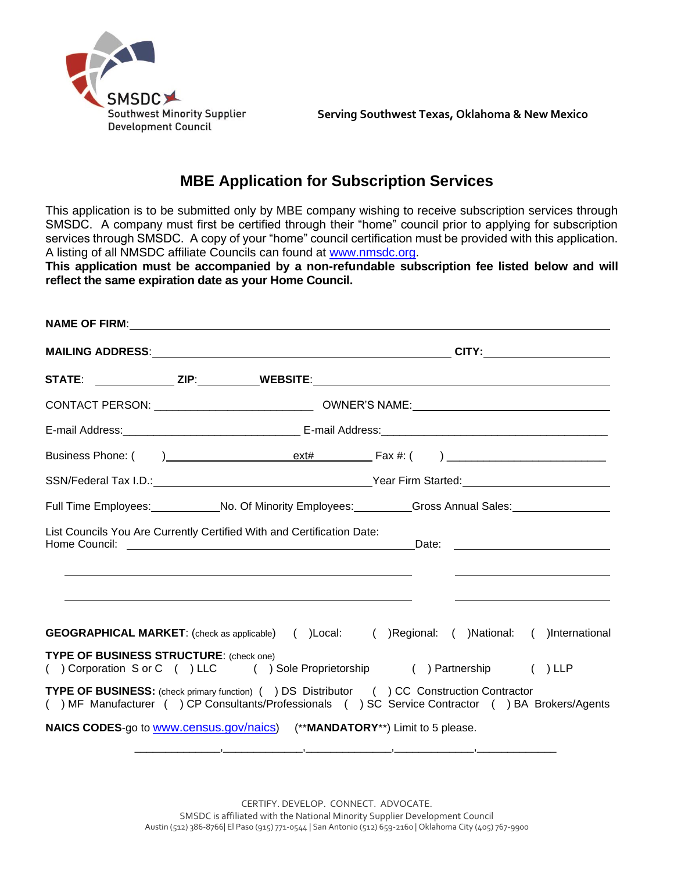

 **Serving Southwest Texas, Oklahoma & New Mexico**

## **MBE Application for Subscription Services**

This application is to be submitted only by MBE company wishing to receive subscription services through SMSDC. A company must first be certified through their "home" council prior to applying for subscription services through SMSDC. A copy of your "home" council certification must be provided with this application. A listing of all NMSDC affiliate Councils can found at [www.nmsdc.org.](http://www.nmsdc.org/)

**This application must be accompanied by a non-refundable subscription fee listed below and will reflect the same expiration date as your Home Council.**

| Full Time Employees: _____________No. Of Minority Employees: __________Gross Annual Sales: __________________                                                                                    |                                                              |  |                                                                                                                      |
|--------------------------------------------------------------------------------------------------------------------------------------------------------------------------------------------------|--------------------------------------------------------------|--|----------------------------------------------------------------------------------------------------------------------|
| List Councils You Are Currently Certified With and Certification Date:                                                                                                                           | <u> 1989 - Johann Stoff, Amerikaansk politiker (d. 1989)</u> |  | <u> 2000 - 2000 - 2000 - 2000 - 2000 - 2000 - 2000 - 2000 - 2000 - 2000 - 2000 - 2000 - 2000 - 2000 - 2000 - 200</u> |
| <b>GEOGRAPHICAL MARKET:</b> (check as applicable) ( )Local: ( )Regional: ( )National: ( )International                                                                                           |                                                              |  |                                                                                                                      |
| <b>TYPE OF BUSINESS STRUCTURE: (check one)</b><br>() Corporation S or C () LLC () Sole Proprietorship () Partnership () LLP                                                                      |                                                              |  |                                                                                                                      |
| TYPE OF BUSINESS: (check primary function) ( ) DS Distributor ( ) CC Construction Contractor<br>() MF Manufacturer () CP Consultants/Professionals () SC Service Contractor () BA Brokers/Agents |                                                              |  |                                                                                                                      |
| NAICS CODES-go to <b>WWW.census.gov/naics</b> ) (**MANDATORY**) Limit to 5 please.                                                                                                               |                                                              |  |                                                                                                                      |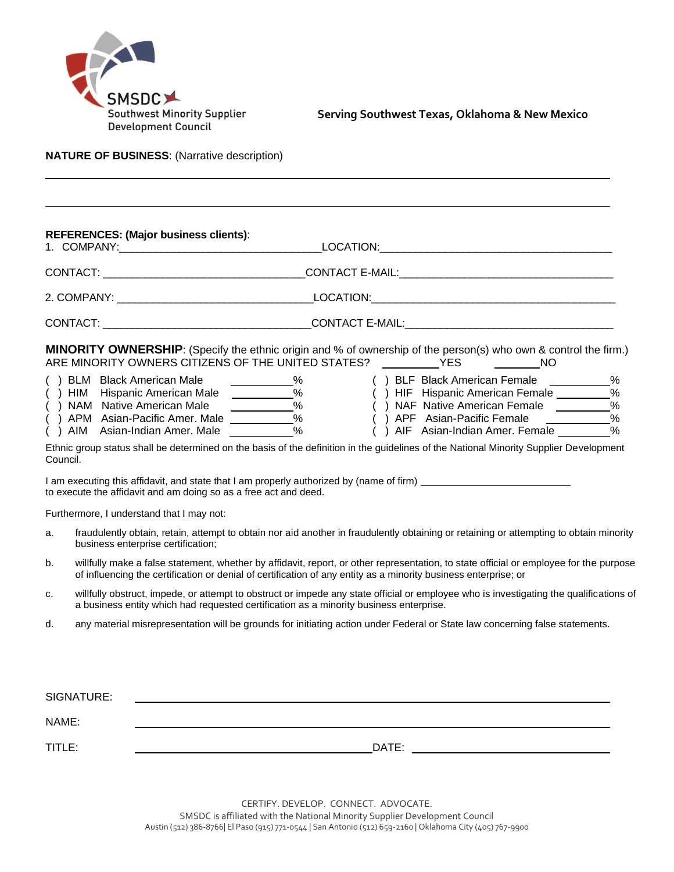

 **Serving Southwest Texas, Oklahoma & New Mexico**

**NATURE OF BUSINESS**: (Narrative description)

|          | <b>REFERENCES: (Major business clients):</b>                                                                                                                                                                                                              |      |                                                                                                                                                                                                                                                                                                                                                                           |  |  |
|----------|-----------------------------------------------------------------------------------------------------------------------------------------------------------------------------------------------------------------------------------------------------------|------|---------------------------------------------------------------------------------------------------------------------------------------------------------------------------------------------------------------------------------------------------------------------------------------------------------------------------------------------------------------------------|--|--|
|          |                                                                                                                                                                                                                                                           |      |                                                                                                                                                                                                                                                                                                                                                                           |  |  |
|          |                                                                                                                                                                                                                                                           |      |                                                                                                                                                                                                                                                                                                                                                                           |  |  |
|          |                                                                                                                                                                                                                                                           |      |                                                                                                                                                                                                                                                                                                                                                                           |  |  |
|          | ARE MINORITY OWNERS CITIZENS OF THE UNITED STATES? ____________ YES                                                                                                                                                                                       |      | MINORITY OWNERSHIP: (Specify the ethnic origin and % of ownership of the person(s) who own & control the firm.)<br>NO.                                                                                                                                                                                                                                                    |  |  |
| Council. | ( ) HIM Hispanic American Male<br>( ) NAM Native American Male<br>( ) APM Asian-Pacific Amer. Male<br>( ) AIM Asian-Indian Amer Mole<br>() AIM Asian-Indian Amer. Male                                                                                    | $\%$ | () BLF Black American Female _______<br>%<br>() HIF Hispanic American Female _______<br>$\%$<br>( ) NAF Native American Female ________<br>$\%$<br>() APF Asian-Pacific Female<br>$\%$<br>() AIF Asian-Indian Amer. Female<br>%<br>Ethnic group status shall be determined on the basis of the definition in the guidelines of the National Minority Supplier Development |  |  |
|          | to execute the affidavit and am doing so as a free act and deed.                                                                                                                                                                                          |      | I am executing this affidavit, and state that I am properly authorized by (name of firm) _____________________                                                                                                                                                                                                                                                            |  |  |
|          | Furthermore, I understand that I may not:                                                                                                                                                                                                                 |      |                                                                                                                                                                                                                                                                                                                                                                           |  |  |
| a.       | business enterprise certification;                                                                                                                                                                                                                        |      | fraudulently obtain, retain, attempt to obtain nor aid another in fraudulently obtaining or retaining or attempting to obtain minority                                                                                                                                                                                                                                    |  |  |
| b.       | willfully make a false statement, whether by affidavit, report, or other representation, to state official or employee for the purpose<br>of influencing the certification or denial of certification of any entity as a minority business enterprise; or |      |                                                                                                                                                                                                                                                                                                                                                                           |  |  |
| c.       | a business entity which had requested certification as a minority business enterprise.                                                                                                                                                                    |      | willfully obstruct, impede, or attempt to obstruct or impede any state official or employee who is investigating the qualifications of                                                                                                                                                                                                                                    |  |  |
| d.       |                                                                                                                                                                                                                                                           |      | any material misrepresentation will be grounds for initiating action under Federal or State law concerning false statements.                                                                                                                                                                                                                                              |  |  |
|          |                                                                                                                                                                                                                                                           |      |                                                                                                                                                                                                                                                                                                                                                                           |  |  |
|          | SIGNATURE:                                                                                                                                                                                                                                                |      |                                                                                                                                                                                                                                                                                                                                                                           |  |  |
| NAME:    |                                                                                                                                                                                                                                                           |      |                                                                                                                                                                                                                                                                                                                                                                           |  |  |
| TITLE:   |                                                                                                                                                                                                                                                           |      | DATE: the contract of the contract of the contract of the contract of the contract of the contract of the contract of the contract of the contract of the contract of the contract of the contract of the contract of the cont                                                                                                                                            |  |  |